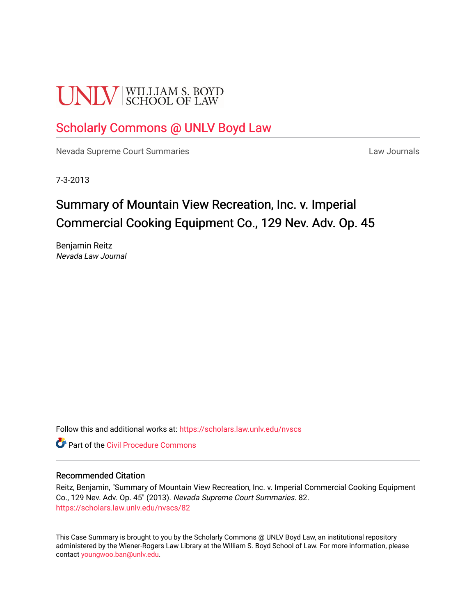# **UNLV** SCHOOL OF LAW

# [Scholarly Commons @ UNLV Boyd Law](https://scholars.law.unlv.edu/)

[Nevada Supreme Court Summaries](https://scholars.law.unlv.edu/nvscs) **Law Journals** Law Journals

7-3-2013

# Summary of Mountain View Recreation, Inc. v. Imperial Commercial Cooking Equipment Co., 129 Nev. Adv. Op. 45

Benjamin Reitz Nevada Law Journal

Follow this and additional works at: [https://scholars.law.unlv.edu/nvscs](https://scholars.law.unlv.edu/nvscs?utm_source=scholars.law.unlv.edu%2Fnvscs%2F82&utm_medium=PDF&utm_campaign=PDFCoverPages)

**C** Part of the Civil Procedure Commons

#### Recommended Citation

Reitz, Benjamin, "Summary of Mountain View Recreation, Inc. v. Imperial Commercial Cooking Equipment Co., 129 Nev. Adv. Op. 45" (2013). Nevada Supreme Court Summaries. 82. [https://scholars.law.unlv.edu/nvscs/82](https://scholars.law.unlv.edu/nvscs/82?utm_source=scholars.law.unlv.edu%2Fnvscs%2F82&utm_medium=PDF&utm_campaign=PDFCoverPages) 

This Case Summary is brought to you by the Scholarly Commons @ UNLV Boyd Law, an institutional repository administered by the Wiener-Rogers Law Library at the William S. Boyd School of Law. For more information, please contact [youngwoo.ban@unlv.edu](mailto:youngwoo.ban@unlv.edu).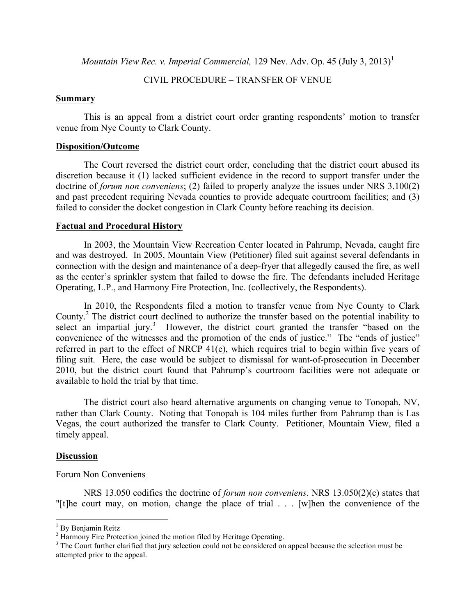*Mountain View Rec. v. Imperial Commercial, 129 Nev. Adv. Op. 45 (July 3, 2013)*<sup>1</sup>

#### CIVIL PROCEDURE – TRANSFER OF VENUE

#### **Summary**

This is an appeal from a district court order granting respondents' motion to transfer venue from Nye County to Clark County.

### **Disposition/Outcome**

The Court reversed the district court order, concluding that the district court abused its discretion because it (1) lacked sufficient evidence in the record to support transfer under the doctrine of *forum non conveniens*; (2) failed to properly analyze the issues under NRS 3.100(2) and past precedent requiring Nevada counties to provide adequate courtroom facilities; and (3) failed to consider the docket congestion in Clark County before reaching its decision.

## **Factual and Procedural History**

In 2003, the Mountain View Recreation Center located in Pahrump, Nevada, caught fire and was destroyed. In 2005, Mountain View (Petitioner) filed suit against several defendants in connection with the design and maintenance of a deep-fryer that allegedly caused the fire, as well as the center's sprinkler system that failed to dowse the fire. The defendants included Heritage Operating, L.P., and Harmony Fire Protection, Inc. (collectively, the Respondents).

In 2010, the Respondents filed a motion to transfer venue from Nye County to Clark County.<sup>2</sup> The district court declined to authorize the transfer based on the potential inability to select an impartial jury.<sup>3</sup> However, the district court granted the transfer "based on the convenience of the witnesses and the promotion of the ends of justice." The "ends of justice" referred in part to the effect of NRCP 41(e), which requires trial to begin within five years of filing suit. Here, the case would be subject to dismissal for want-of-prosecution in December 2010, but the district court found that Pahrump's courtroom facilities were not adequate or available to hold the trial by that time.

The district court also heard alternative arguments on changing venue to Tonopah, NV, rather than Clark County. Noting that Tonopah is 104 miles further from Pahrump than is Las Vegas, the court authorized the transfer to Clark County. Petitioner, Mountain View, filed a timely appeal.

#### **Discussion**

#### Forum Non Conveniens

<u> 1989 - Jan Samuel Barbara, margaret e</u>

NRS 13.050 codifies the doctrine of *forum non conveniens*. NRS 13.050(2)(c) states that "[t]he court may, on motion, change the place of trial . . . [w]hen the convenience of the

<sup>&</sup>lt;sup>1</sup> By Benjamin Reitz<br><sup>2</sup> Harmony Fire Protection joined the motion filed by Heritage Operating.<br><sup>3</sup> The Court further clarified that jury selection could not be considered on appeal because the selection must be attempted prior to the appeal.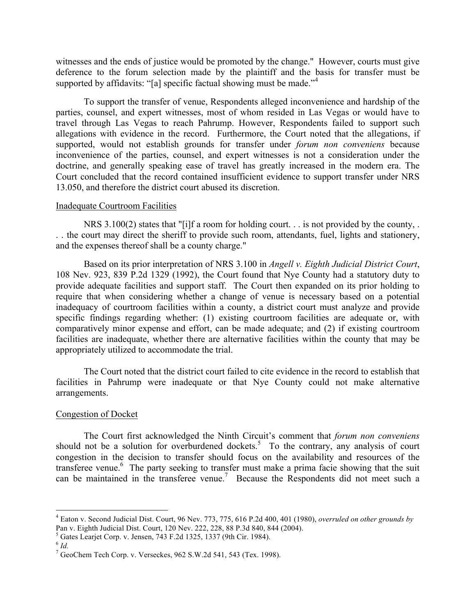witnesses and the ends of justice would be promoted by the change." However, courts must give deference to the forum selection made by the plaintiff and the basis for transfer must be supported by affidavits: "[a] specific factual showing must be made." $4$ 

To support the transfer of venue, Respondents alleged inconvenience and hardship of the parties, counsel, and expert witnesses, most of whom resided in Las Vegas or would have to travel through Las Vegas to reach Pahrump. However, Respondents failed to support such allegations with evidence in the record. Furthermore, the Court noted that the allegations, if supported, would not establish grounds for transfer under *forum non conveniens* because inconvenience of the parties, counsel, and expert witnesses is not a consideration under the doctrine, and generally speaking ease of travel has greatly increased in the modern era. The Court concluded that the record contained insufficient evidence to support transfer under NRS 13.050, and therefore the district court abused its discretion.

#### Inadequate Courtroom Facilities

NRS 3.100(2) states that "[i]f a room for holding court. . . is not provided by the county, . . . the court may direct the sheriff to provide such room, attendants, fuel, lights and stationery, and the expenses thereof shall be a county charge."

Based on its prior interpretation of NRS 3.100 in *Angell v. Eighth Judicial District Court*, 108 Nev. 923, 839 P.2d 1329 (1992), the Court found that Nye County had a statutory duty to provide adequate facilities and support staff. The Court then expanded on its prior holding to require that when considering whether a change of venue is necessary based on a potential inadequacy of courtroom facilities within a county, a district court must analyze and provide specific findings regarding whether: (1) existing courtroom facilities are adequate or, with comparatively minor expense and effort, can be made adequate; and (2) if existing courtroom facilities are inadequate, whether there are alternative facilities within the county that may be appropriately utilized to accommodate the trial.

The Court noted that the district court failed to cite evidence in the record to establish that facilities in Pahrump were inadequate or that Nye County could not make alternative arrangements.

#### Congestion of Docket

<u> 1989 - Jan Samuel Barbara, margaret e</u>

The Court first acknowledged the Ninth Circuit's comment that *forum non conveniens* should not be a solution for overburdened dockets.<sup>5</sup> To the contrary, any analysis of court congestion in the decision to transfer should focus on the availability and resources of the transferee venue.<sup>6</sup> The party seeking to transfer must make a prima facie showing that the suit can be maintained in the transferee venue.<sup>7</sup> Because the Respondents did not meet such a

<sup>4</sup> Eaton v. Second Judicial Dist. Court, 96 Nev. 773, 775, 616 P.2d 400, 401 (1980), *overruled on other grounds by* 

 $^{5}$  Gates Learjet Corp. v. Jensen, 743 F.2d 1325, 1337 (9th Cir. 1984).  $^{6}$  *Id.* 

 $7$  GeoChem Tech Corp. v. Verseckes, 962 S.W.2d 541, 543 (Tex. 1998).